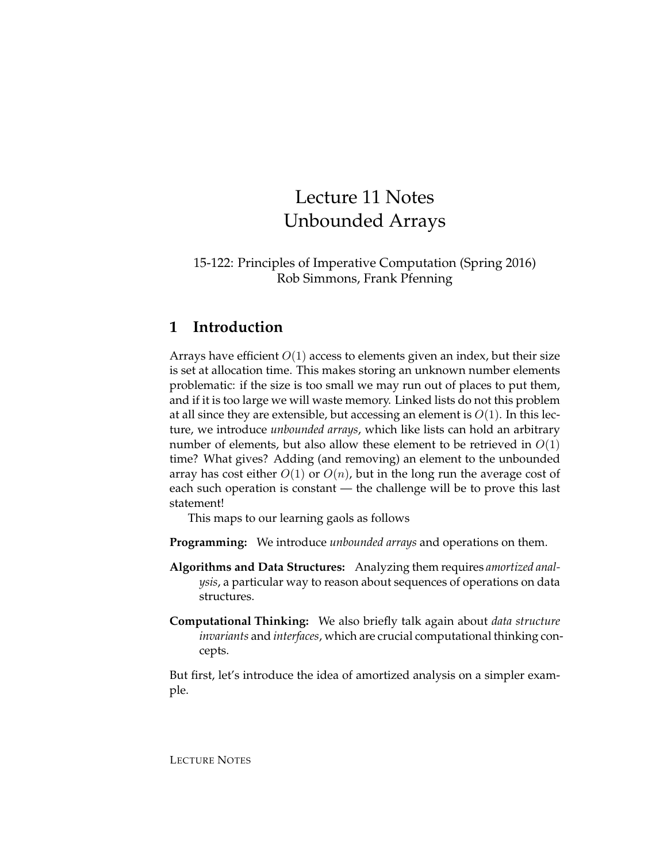# Lecture 11 Notes Unbounded Arrays

#### 15-122: Principles of Imperative Computation (Spring 2016) Rob Simmons, Frank Pfenning

# **1 Introduction**

Arrays have efficient  $O(1)$  access to elements given an index, but their size is set at allocation time. This makes storing an unknown number elements problematic: if the size is too small we may run out of places to put them, and if it is too large we will waste memory. Linked lists do not this problem at all since they are extensible, but accessing an element is  $O(1)$ . In this lecture, we introduce *unbounded arrays*, which like lists can hold an arbitrary number of elements, but also allow these element to be retrieved in  $O(1)$ time? What gives? Adding (and removing) an element to the unbounded array has cost either  $O(1)$  or  $O(n)$ , but in the long run the average cost of each such operation is constant — the challenge will be to prove this last statement!

This maps to our learning gaols as follows

- **Programming:** We introduce *unbounded arrays* and operations on them.
- **Algorithms and Data Structures:** Analyzing them requires *amortized analysis*, a particular way to reason about sequences of operations on data structures.
- **Computational Thinking:** We also briefly talk again about *data structure invariants* and *interfaces*, which are crucial computational thinking concepts.

But first, let's introduce the idea of amortized analysis on a simpler example.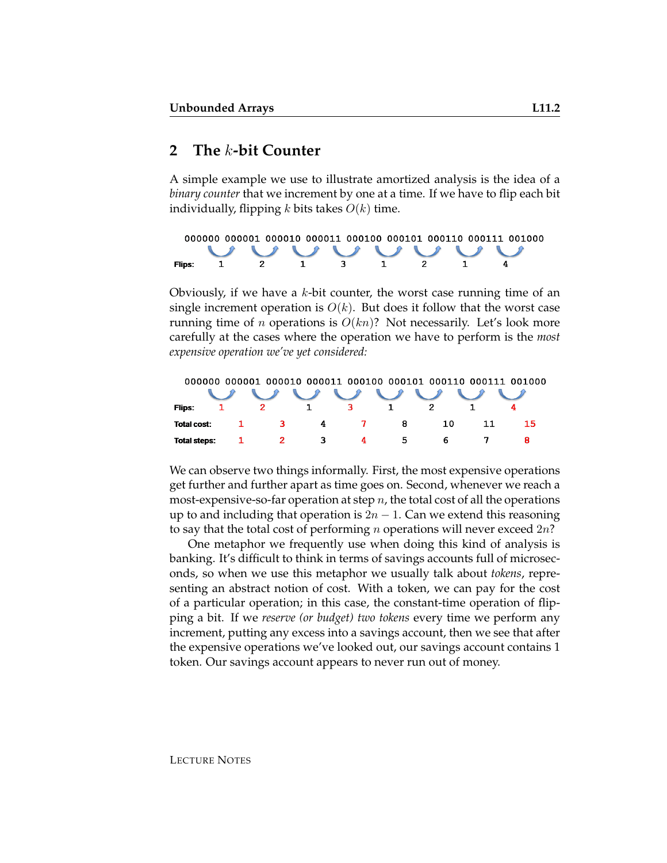## **2 The** k**-bit Counter**

A simple example we use to illustrate amortized analysis is the idea of a *binary counter* that we increment by one at a time. If we have to flip each bit individually, flipping  $k$  bits takes  $O(k)$  time.

|        | 000000 000001 000010 000011 000100 000101 000110 000111 001000 |  |  |              |  |              |  |                   |  |  |
|--------|----------------------------------------------------------------|--|--|--------------|--|--------------|--|-------------------|--|--|
|        |                                                                |  |  |              |  |              |  | U U U U U U U U U |  |  |
| Flips: | and the contract of the contract of                            |  |  | $\mathbf{1}$ |  | $\mathbf{1}$ |  |                   |  |  |

Obviously, if we have a  $k$ -bit counter, the worst case running time of an single increment operation is  $O(k)$ . But does it follow that the worst case running time of *n* operations is  $O(kn)$ ? Not necessarily. Let's look more carefully at the cases where the operation we have to perform is the *most expensive operation we've yet considered:*

|                     |     |          |              |   | 000000 000001 000010 000011 000100 000101 000110 000111 001000 |    |
|---------------------|-----|----------|--------------|---|----------------------------------------------------------------|----|
|                     |     | $\cup$   |              |   |                                                                |    |
| Flips:              |     |          |              |   |                                                                |    |
| Total cost:         | ા વ | $\sim$ 4 | $\mathbf{Z}$ | 8 | 10                                                             | 15 |
| <b>Total steps:</b> | 2   | - 3      | 4            | 5 | 6                                                              |    |

We can observe two things informally. First, the most expensive operations get further and further apart as time goes on. Second, whenever we reach a most-expensive-so-far operation at step  $n$ , the total cost of all the operations up to and including that operation is  $2n - 1$ . Can we extend this reasoning to say that the total cost of performing *n* operations will never exceed  $2n$ ?

One metaphor we frequently use when doing this kind of analysis is banking. It's difficult to think in terms of savings accounts full of microseconds, so when we use this metaphor we usually talk about *tokens*, representing an abstract notion of cost. With a token, we can pay for the cost of a particular operation; in this case, the constant-time operation of flipping a bit. If we *reserve (or budget) two tokens* every time we perform any increment, putting any excess into a savings account, then we see that after the expensive operations we've looked out, our savings account contains 1 token. Our savings account appears to never run out of money.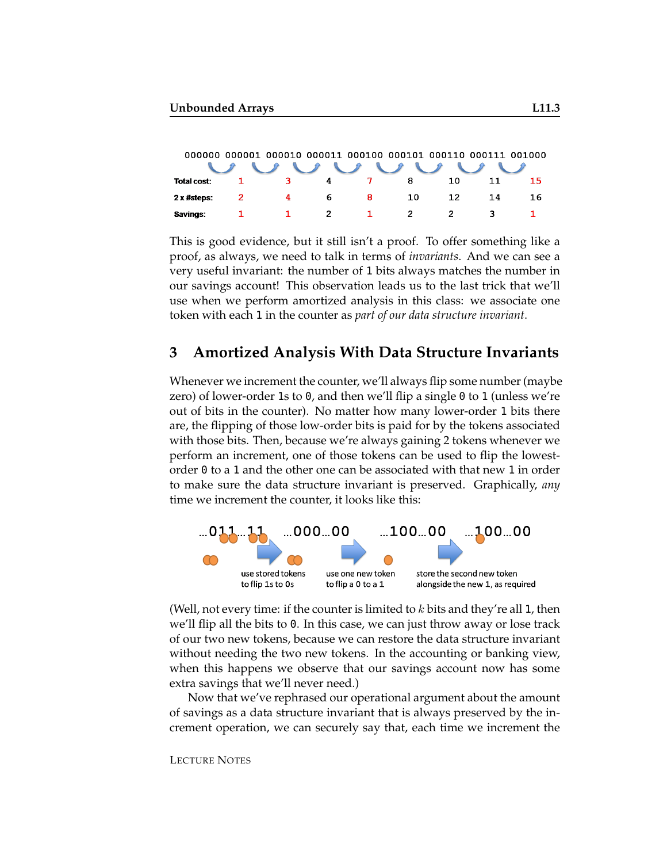|                    |   | 000000 000001 000010 000011 000100 000101 000110 000111 001000 |    |    |    |    |     |    |
|--------------------|---|----------------------------------------------------------------|----|----|----|----|-----|----|
|                    |   | $\cup$ $\cup$ $\cup$ $\cup$                                    |    |    |    |    |     |    |
| <b>Total cost:</b> |   | ิว                                                             | 4  |    | 8  | 10 |     | 15 |
| $2x$ #steps:       | 2 | 4                                                              | 6. | -8 | 10 | 12 | 14. | 16 |
| Savings:           |   |                                                                | 2  |    |    |    |     |    |

This is good evidence, but it still isn't a proof. To offer something like a proof, as always, we need to talk in terms of *invariants*. And we can see a very useful invariant: the number of 1 bits always matches the number in our savings account! This observation leads us to the last trick that we'll use when we perform amortized analysis in this class: we associate one token with each 1 in the counter as *part of our data structure invariant*.

### **3 Amortized Analysis With Data Structure Invariants**

Whenever we increment the counter, we'll always flip some number (maybe zero) of lower-order 1s to 0, and then we'll flip a single 0 to 1 (unless we're out of bits in the counter). No matter how many lower-order 1 bits there are, the flipping of those low-order bits is paid for by the tokens associated with those bits. Then, because we're always gaining 2 tokens whenever we perform an increment, one of those tokens can be used to flip the lowestorder 0 to a 1 and the other one can be associated with that new 1 in order to make sure the data structure invariant is preserved. Graphically, *any* time we increment the counter, it looks like this:



(Well, not every time: if the counter is limited to  $k$  bits and they're all 1, then we'll flip all the bits to 0. In this case, we can just throw away or lose track of our two new tokens, because we can restore the data structure invariant without needing the two new tokens. In the accounting or banking view, when this happens we observe that our savings account now has some extra savings that we'll never need.)

Now that we've rephrased our operational argument about the amount of savings as a data structure invariant that is always preserved by the increment operation, we can securely say that, each time we increment the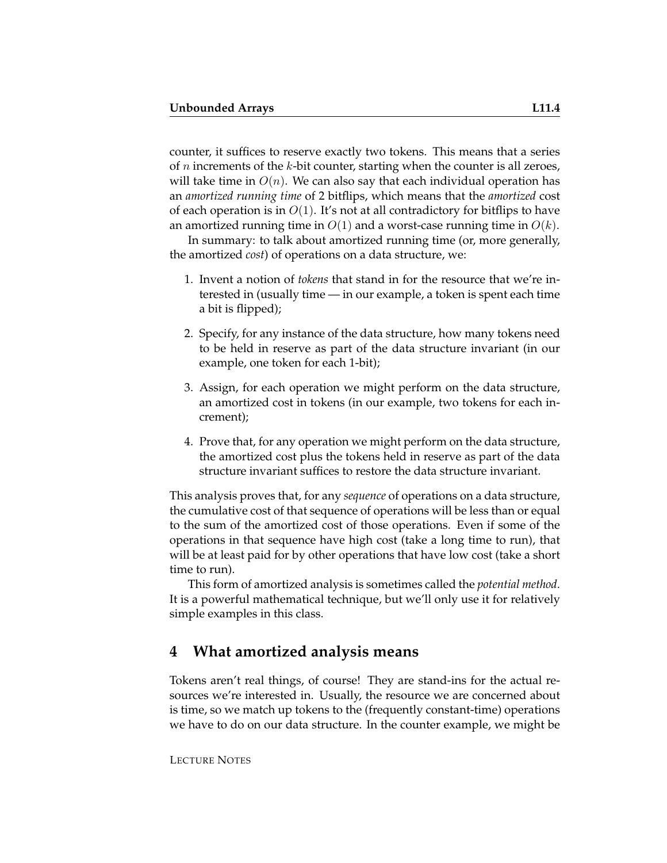counter, it suffices to reserve exactly two tokens. This means that a series of  $n$  increments of the  $k$ -bit counter, starting when the counter is all zeroes, will take time in  $O(n)$ . We can also say that each individual operation has an *amortized running time* of 2 bitflips, which means that the *amortized* cost of each operation is in  $O(1)$ . It's not at all contradictory for bitflips to have an amortized running time in  $O(1)$  and a worst-case running time in  $O(k)$ .

In summary: to talk about amortized running time (or, more generally, the amortized *cost*) of operations on a data structure, we:

- 1. Invent a notion of *tokens* that stand in for the resource that we're interested in (usually time — in our example, a token is spent each time a bit is flipped);
- 2. Specify, for any instance of the data structure, how many tokens need to be held in reserve as part of the data structure invariant (in our example, one token for each 1-bit);
- 3. Assign, for each operation we might perform on the data structure, an amortized cost in tokens (in our example, two tokens for each increment);
- 4. Prove that, for any operation we might perform on the data structure, the amortized cost plus the tokens held in reserve as part of the data structure invariant suffices to restore the data structure invariant.

This analysis proves that, for any *sequence* of operations on a data structure, the cumulative cost of that sequence of operations will be less than or equal to the sum of the amortized cost of those operations. Even if some of the operations in that sequence have high cost (take a long time to run), that will be at least paid for by other operations that have low cost (take a short time to run).

This form of amortized analysis is sometimes called the *potential method*. It is a powerful mathematical technique, but we'll only use it for relatively simple examples in this class.

### **4 What amortized analysis means**

Tokens aren't real things, of course! They are stand-ins for the actual resources we're interested in. Usually, the resource we are concerned about is time, so we match up tokens to the (frequently constant-time) operations we have to do on our data structure. In the counter example, we might be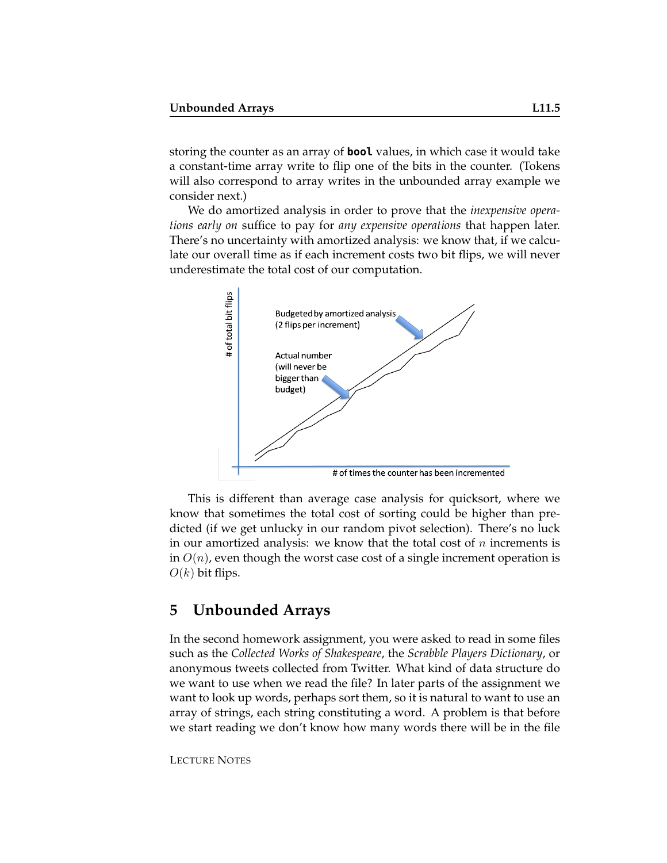storing the counter as an array of **bool** values, in which case it would take a constant-time array write to flip one of the bits in the counter. (Tokens will also correspond to array writes in the unbounded array example we consider next.)

We do amortized analysis in order to prove that the *inexpensive operations early on* suffice to pay for *any expensive operations* that happen later. There's no uncertainty with amortized analysis: we know that, if we calculate our overall time as if each increment costs two bit flips, we will never underestimate the total cost of our computation.



This is different than average case analysis for quicksort, where we know that sometimes the total cost of sorting could be higher than predicted (if we get unlucky in our random pivot selection). There's no luck in our amortized analysis: we know that the total cost of  $n$  increments is in  $O(n)$ , even though the worst case cost of a single increment operation is  $O(k)$  bit flips.

### **5 Unbounded Arrays**

In the second homework assignment, you were asked to read in some files such as the *Collected Works of Shakespeare*, the *Scrabble Players Dictionary*, or anonymous tweets collected from Twitter. What kind of data structure do we want to use when we read the file? In later parts of the assignment we want to look up words, perhaps sort them, so it is natural to want to use an array of strings, each string constituting a word. A problem is that before we start reading we don't know how many words there will be in the file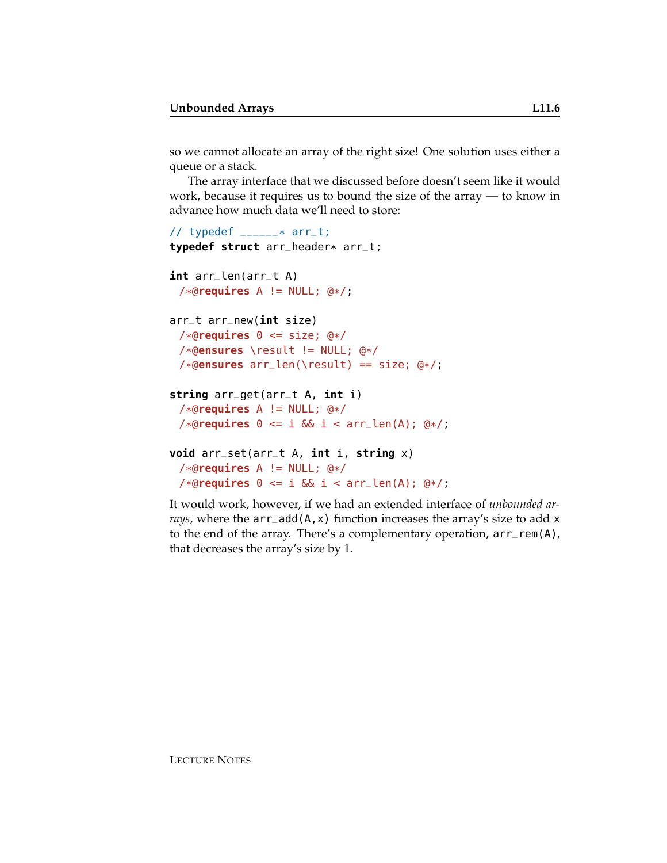so we cannot allocate an array of the right size! One solution uses either a queue or a stack.

The array interface that we discussed before doesn't seem like it would work, because it requires us to bound the size of the array — to know in advance how much data we'll need to store:

```
// typedef \text{---}* arr\text{-}t;
typedef struct arr_header* arr_t;
int arr_len(arr_t A)
 /*@requires A != NULL; @*/;
arr_t arr_new(int size)
 /*@requires 0 <= size; @*/
 /*@ensures \result != NULL; @*/
 /*@ensures arr_len(\result) == size; @*/;
string arr_get(arr_t A, int i)
 /*@requires A != NULL; @*/
 /*@requires 0 <= i && i < arr_len(A); @*/;
void arr_set(arr_t A, int i, string x)
 /*@requires A != NULL; @*/
 /*@requires 0 <= i && i < arr_len(A); @*/;
```
It would work, however, if we had an extended interface of *unbounded arrays*, where the arr\_add(A,x) function increases the array's size to add x to the end of the array. There's a complementary operation, arr\_rem(A), that decreases the array's size by 1.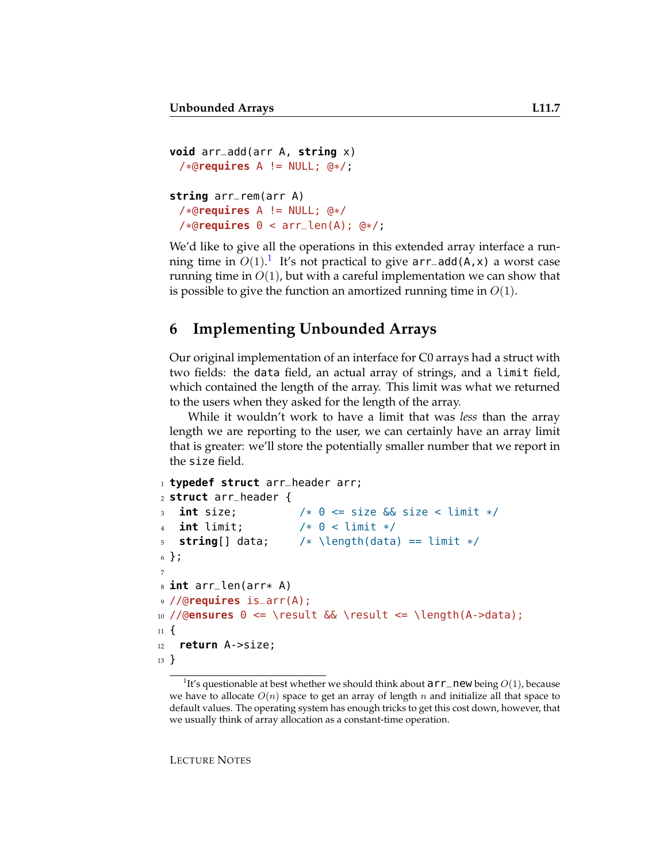```
void arr_add(arr A, string x)
 /*@requires A != NULL; @*/;
string arr_rem(arr A)
 /*@requires A != NULL; @*/
 /*@requires 0 < arr_len(A); @*/;
```
We'd like to give all the operations in this extended array interface a running time in  $O(1)$  $O(1)$  $O(1)$ .<sup>1</sup> It's not practical to give  $\texttt{arr\_add}(A, x)$  a worst case running time in  $O(1)$ , but with a careful implementation we can show that is possible to give the function an amortized running time in  $O(1)$ .

# **6 Implementing Unbounded Arrays**

Our original implementation of an interface for C0 arrays had a struct with two fields: the data field, an actual array of strings, and a limit field, which contained the length of the array. This limit was what we returned to the users when they asked for the length of the array.

While it wouldn't work to have a limit that was *less* than the array length we are reporting to the user, we can certainly have an array limit that is greater: we'll store the potentially smaller number that we report in the size field.

```
1 typedef struct arr_header arr;
2 struct arr_header {
3 int size; /* 0 <= size && size < limit */
   \text{int limit}; /* 0 < \text{limit} */5 string[] data; /* \length(data) == limit */
6 };
7
8 int arr_len(arr* A)
9 //@requires is_arr(A);
10 //@ensures 0 <= \result && \result <= \length(A->data);
11 \frac{1}{2}12 return A->size;
13 }
```
<span id="page-6-0"></span><sup>&</sup>lt;sup>1</sup>It's questionable at best whether we should think about  $\arr$  new being  $O(1)$ , because we have to allocate  $O(n)$  space to get an array of length n and initialize all that space to default values. The operating system has enough tricks to get this cost down, however, that we usually think of array allocation as a constant-time operation.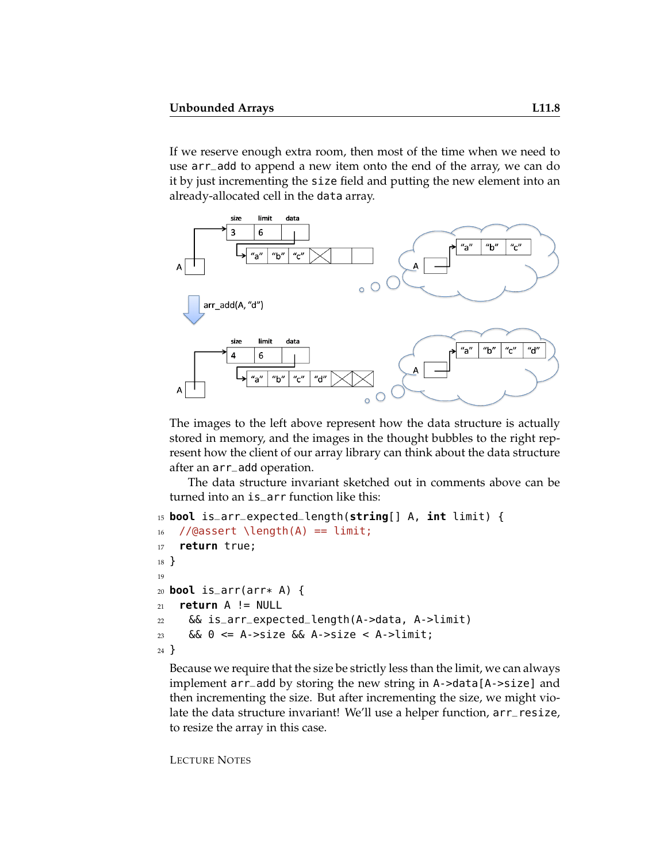If we reserve enough extra room, then most of the time when we need to use arr\_add to append a new item onto the end of the array, we can do it by just incrementing the size field and putting the new element into an already-allocated cell in the data array.



The images to the left above represent how the data structure is actually stored in memory, and the images in the thought bubbles to the right represent how the client of our array library can think about the data structure after an arr\_add operation.

The data structure invariant sketched out in comments above can be turned into an is\_arr function like this:

```
15 bool is_arr_expected_length(string[] A, int limit) {
16 //@assert \length(A) == limit;
17 return true;
18 }
19
20 bool is_arr(arr* A) {
21 return A != NULL
22 && is_arr_expected_length(A->data, A->limit)
23 && 0 \leq A \geq A->size && A->size \leq A \geqlimit;
24 }
```
Because we require that the size be strictly less than the limit, we can always implement arr\_add by storing the new string in A->data[A->size] and then incrementing the size. But after incrementing the size, we might violate the data structure invariant! We'll use a helper function, arr\_resize, to resize the array in this case.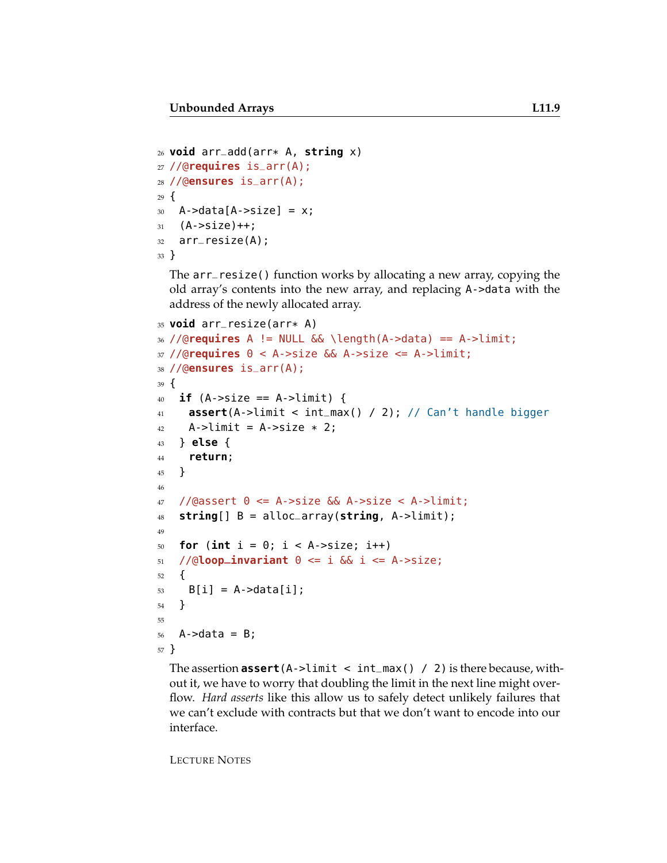```
26 void arr_add(arr* A, string x)
27 //@requires is_arr(A);
28 //@ensures is_arr(A);
29 \text{ }30 A->data[A->size] = x;
31 \quad (A \text{-} \text{size}) + +;32 arr_resize(A);
33 }
```
The arr\_resize() function works by allocating a new array, copying the old array's contents into the new array, and replacing A->data with the address of the newly allocated array.

```
35 void arr_resize(arr* A)
36 //@requires A != NULL && \length(A->data) == A->limit;
37 //@requires 0 < A->size && A->size <= A->limit;
38 //@ensures is_arr(A);
39 \frac{1}{2}40 if (A->size == A->limit) {
41 assert(A->limit < int_max() / 2); // Can't handle bigger
42 A->limit = A->size * 2;43 } else {
44 return;
45 }
46
47 //@assert \theta \leq A->size && A->size < A->limit;
48 string[] B = alloc_array(string, A->limit);
49
50 for (int i = 0; i < A->size; i++)
51 / (\text{dloop} invariant \theta \leq i & i \leq A->size;
52 \quad \text{\AA}53 B[i] = A->data[i];
54 }
55
56 A->data = B;
57 }
```
The assertion **assert**(A->limit < int\_max() / 2) is there because, without it, we have to worry that doubling the limit in the next line might overflow. *Hard asserts* like this allow us to safely detect unlikely failures that we can't exclude with contracts but that we don't want to encode into our interface.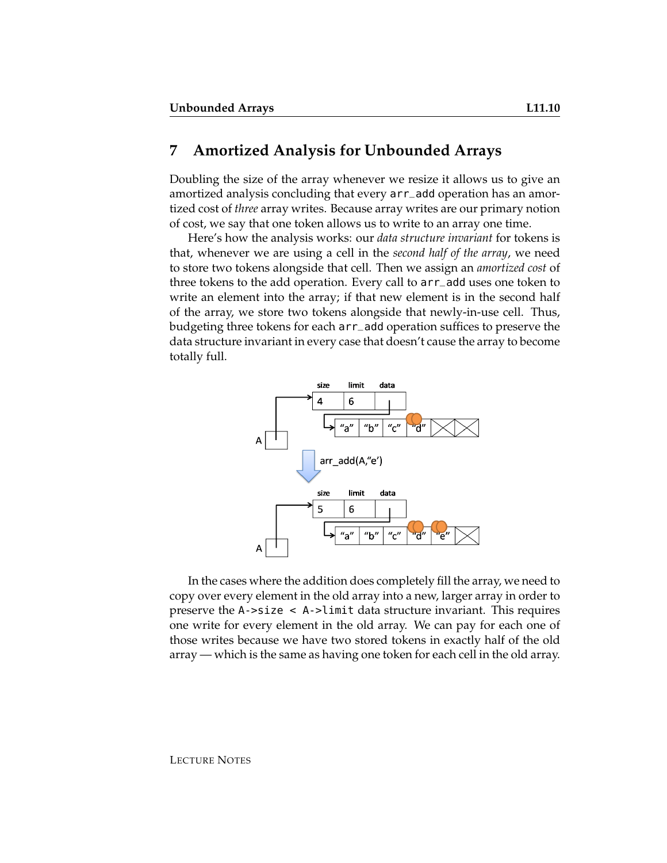#### **7 Amortized Analysis for Unbounded Arrays**

Doubling the size of the array whenever we resize it allows us to give an amortized analysis concluding that every arr\_add operation has an amortized cost of *three* array writes. Because array writes are our primary notion of cost, we say that one token allows us to write to an array one time.

Here's how the analysis works: our *data structure invariant* for tokens is that, whenever we are using a cell in the *second half of the array*, we need to store two tokens alongside that cell. Then we assign an *amortized cost* of three tokens to the add operation. Every call to arr\_add uses one token to write an element into the array; if that new element is in the second half of the array, we store two tokens alongside that newly-in-use cell. Thus, budgeting three tokens for each arr\_add operation suffices to preserve the data structure invariant in every case that doesn't cause the array to become totally full.



In the cases where the addition does completely fill the array, we need to copy over every element in the old array into a new, larger array in order to preserve the A->size < A->limit data structure invariant. This requires one write for every element in the old array. We can pay for each one of those writes because we have two stored tokens in exactly half of the old array — which is the same as having one token for each cell in the old array.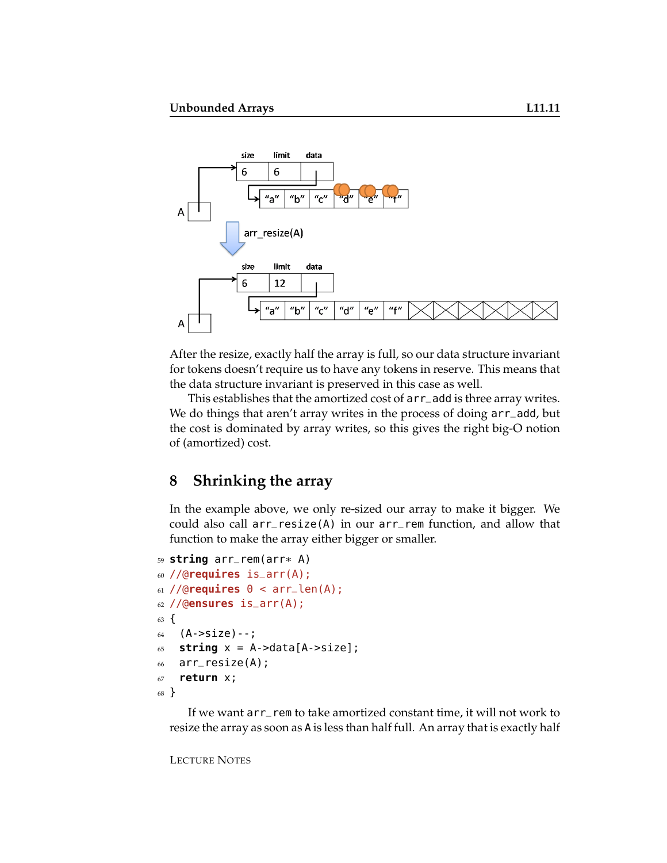

After the resize, exactly half the array is full, so our data structure invariant for tokens doesn't require us to have any tokens in reserve. This means that the data structure invariant is preserved in this case as well.

This establishes that the amortized cost of arr\_add is three array writes. We do things that aren't array writes in the process of doing  $arr$ –add, but the cost is dominated by array writes, so this gives the right big-O notion of (amortized) cost.

# **8 Shrinking the array**

In the example above, we only re-sized our array to make it bigger. We could also call arr\_resize(A) in our arr\_rem function, and allow that function to make the array either bigger or smaller.

```
59 string arr_rem(arr* A)
60 //@requires is_arr(A);
61 //@requires @ < arr<sub>1</sub>len(A);
62 //@ensures is_arr(A);
63 \text{ }64 (A->size) --;65 string x = A->data[A->size];
66 arr_resize(A);
67 return x;
68 }
```
If we want arr\_rem to take amortized constant time, it will not work to resize the array as soon as A is less than half full. An array that is exactly half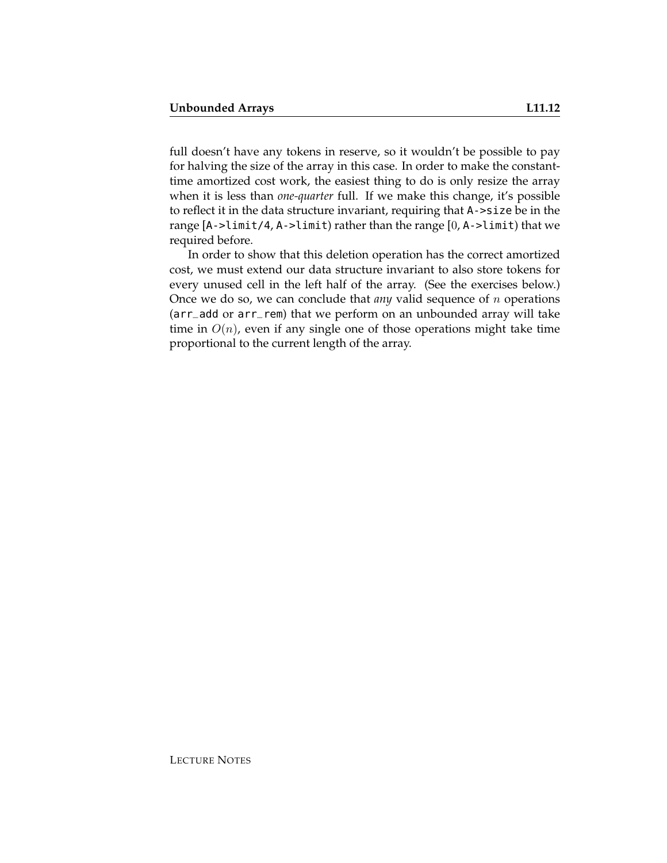full doesn't have any tokens in reserve, so it wouldn't be possible to pay for halving the size of the array in this case. In order to make the constanttime amortized cost work, the easiest thing to do is only resize the array when it is less than *one-quarter* full. If we make this change, it's possible to reflect it in the data structure invariant, requiring that A->size be in the range [A->limit/4, A->limit) rather than the range [0, A->limit) that we required before.

In order to show that this deletion operation has the correct amortized cost, we must extend our data structure invariant to also store tokens for every unused cell in the left half of the array. (See the exercises below.) Once we do so, we can conclude that *any* valid sequence of n operations (arr\_add or arr\_rem) that we perform on an unbounded array will take time in  $O(n)$ , even if any single one of those operations might take time proportional to the current length of the array.